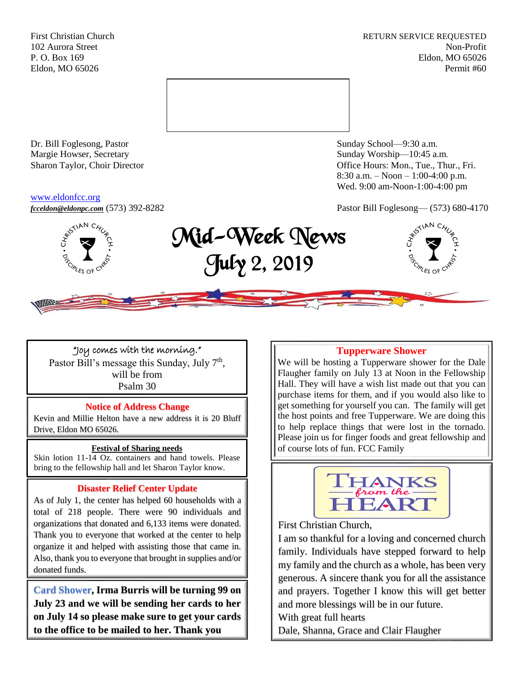First Christian Church **RETURN SERVICE REQUESTED** 102 Aurora Street Non-Profit P. O. Box 169 Eldon, MO 65026 Eldon, MO 65026 Permit #60



Dr. Bill Foglesong, Pastor Sunday School—9:30 a.m. Margie Howser, Secretary Sunday Worship—10:45 a.m.

#### [www.eldonfcc.org](http://www.eldonfcc.org/)

Sharon Taylor, Choir Director **Calcular Control** Control Control Control Control Control Control Control Control Control Control Control Control Control Control Control Control Control Control Control Control Control Contr 8:30 a.m. – Noon – 1:00-4:00 p.m. Wed. 9:00 am-Noon-1:00-4:00 pm



# *[fcceldon@eldonpc.com](mailto:fcceldon@eldonpc.com)* (573) 392-8282 Pastor Bill Foglesong— (573) 680-4170<br> $\delta^{\mathcal{S}^{\text{NAP C}}\mathcal{U}_\varphi}_{\mathcal{S}}$  **Mid-Week Nowne** Mid-Week News July 2, 2019



## "Joy comes with the morning."

Pastor Bill's message this Sunday, July 7<sup>th</sup>, will be from Psalm 30

## **Notice of Address Change**

Kevin and Millie Helton have a new address it is 20 Bluff Drive, Eldon MO 65026.

## **Festival of Sharing needs**

Skin lotion 11-14 Oz. containers and hand towels. Please bring to the fellowship hall and let Sharon Taylor know.

## **Disaster Relief Center Update**

As of July 1, the center has helped 60 households with a total of 218 people. There were 90 individuals and organizations that donated and 6,133 items were donated. Thank you to everyone that worked at the center to help organize it and helped with assisting those that came in. Also, thank you to everyone that brought in supplies and/or donated funds.

**Card Shower, Irma Burris will be turning 99 on July 23 and we will be sending her cards to her on July 14 so please make sure to get your cards to the office to be mailed to her. Thank you**

#### **Tupperware Shower**

We will be hosting a Tupperware shower for the Dale Flaugher family on July 13 at Noon in the Fellowship Hall. They will have a wish list made out that you can purchase items for them, and if you would also like to get something for yourself you can. The family will get the host points and free Tupperware. We are doing this to help replace things that were lost in the tornado. Please join us for finger foods and great fellowship and of course lots of fun. FCC Family



First Christian Church,

I am so thankful for a loving and concerned church family. Individuals have stepped forward to help my family and the church as a whole, has been very generous. A sincere thank you for all the assistance and prayers. Together I know this will get better and more blessings will be in our future.

With great full hearts

Dale, Shanna, Grace and Clair Flaugher